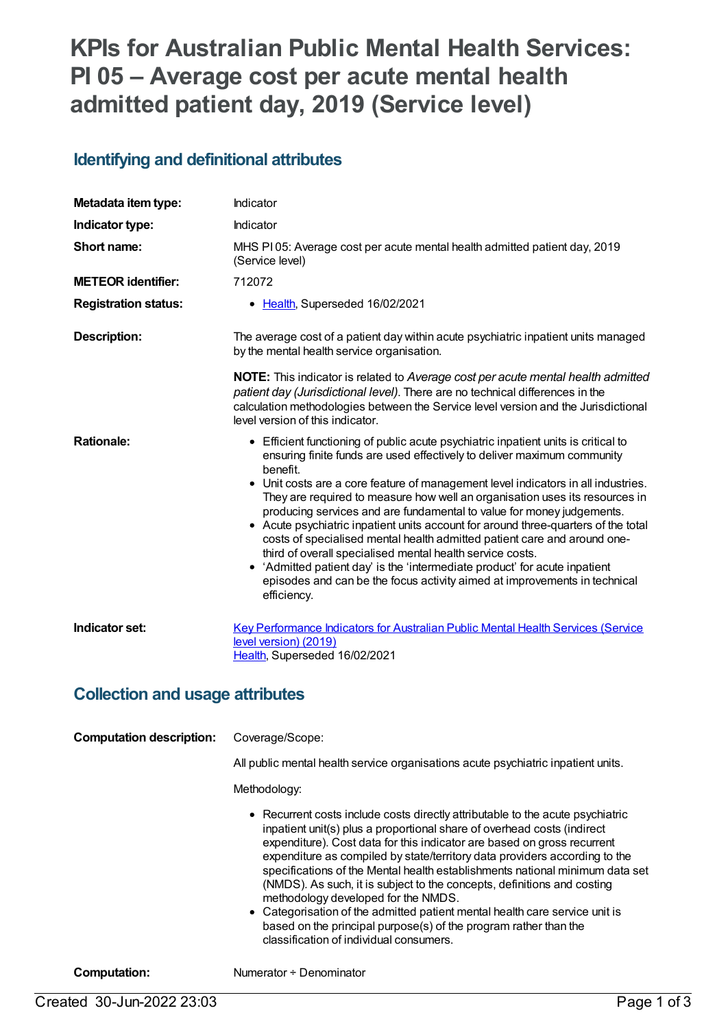# **KPIs for Australian Public Mental Health Services: PI 05 – Average cost per acute mental health admitted patient day, 2019 (Service level)**

#### **Identifying and definitional attributes**

| Metadata item type:         | Indicator                                                                                                                                                                                                                                                                                                                                                                                                                                                                                                                                                                                                                                                                                                                                                                                                                       |
|-----------------------------|---------------------------------------------------------------------------------------------------------------------------------------------------------------------------------------------------------------------------------------------------------------------------------------------------------------------------------------------------------------------------------------------------------------------------------------------------------------------------------------------------------------------------------------------------------------------------------------------------------------------------------------------------------------------------------------------------------------------------------------------------------------------------------------------------------------------------------|
| Indicator type:             | Indicator                                                                                                                                                                                                                                                                                                                                                                                                                                                                                                                                                                                                                                                                                                                                                                                                                       |
| Short name:                 | MHS PI05: Average cost per acute mental health admitted patient day, 2019<br>(Service level)                                                                                                                                                                                                                                                                                                                                                                                                                                                                                                                                                                                                                                                                                                                                    |
| <b>METEOR identifier:</b>   | 712072                                                                                                                                                                                                                                                                                                                                                                                                                                                                                                                                                                                                                                                                                                                                                                                                                          |
| <b>Registration status:</b> | • Health, Superseded 16/02/2021                                                                                                                                                                                                                                                                                                                                                                                                                                                                                                                                                                                                                                                                                                                                                                                                 |
| Description:                | The average cost of a patient day within acute psychiatric inpatient units managed<br>by the mental health service organisation.                                                                                                                                                                                                                                                                                                                                                                                                                                                                                                                                                                                                                                                                                                |
|                             | <b>NOTE:</b> This indicator is related to Average cost per acute mental health admitted<br>patient day (Jurisdictional level). There are no technical differences in the<br>calculation methodologies between the Service level version and the Jurisdictional<br>level version of this indicator.                                                                                                                                                                                                                                                                                                                                                                                                                                                                                                                              |
| <b>Rationale:</b>           | • Efficient functioning of public acute psychiatric inpatient units is critical to<br>ensuring finite funds are used effectively to deliver maximum community<br>benefit.<br>• Unit costs are a core feature of management level indicators in all industries.<br>They are required to measure how well an organisation uses its resources in<br>producing services and are fundamental to value for money judgements.<br>• Acute psychiatric inpatient units account for around three-quarters of the total<br>costs of specialised mental health admitted patient care and around one-<br>third of overall specialised mental health service costs.<br>• 'Admitted patient day' is the 'intermediate product' for acute inpatient<br>episodes and can be the focus activity aimed at improvements in technical<br>efficiency. |
| Indicator set:              | <b>Key Performance Indicators for Australian Public Mental Health Services (Service</b><br>level version) (2019)<br>Health, Superseded 16/02/2021                                                                                                                                                                                                                                                                                                                                                                                                                                                                                                                                                                                                                                                                               |

#### **Collection and usage attributes**

| <b>Computation description:</b> | Coverage/Scope:<br>All public mental health service organisations acute psychiatric inpatient units.<br>Methodology:                                                                                                                                                                                                                                                                                                                                                                                                                                                                                                                                                                                               |
|---------------------------------|--------------------------------------------------------------------------------------------------------------------------------------------------------------------------------------------------------------------------------------------------------------------------------------------------------------------------------------------------------------------------------------------------------------------------------------------------------------------------------------------------------------------------------------------------------------------------------------------------------------------------------------------------------------------------------------------------------------------|
|                                 | • Recurrent costs include costs directly attributable to the acute psychiatric<br>inpatient unit(s) plus a proportional share of overhead costs (indirect<br>expenditure). Cost data for this indicator are based on gross recurrent<br>expenditure as compiled by state/territory data providers according to the<br>specifications of the Mental health establishments national minimum data set<br>(NMDS). As such, it is subject to the concepts, definitions and costing<br>methodology developed for the NMDS.<br>• Categorisation of the admitted patient mental health care service unit is<br>based on the principal purpose(s) of the program rather than the<br>classification of individual consumers. |

**Computation:** Numerator ÷ Denominator